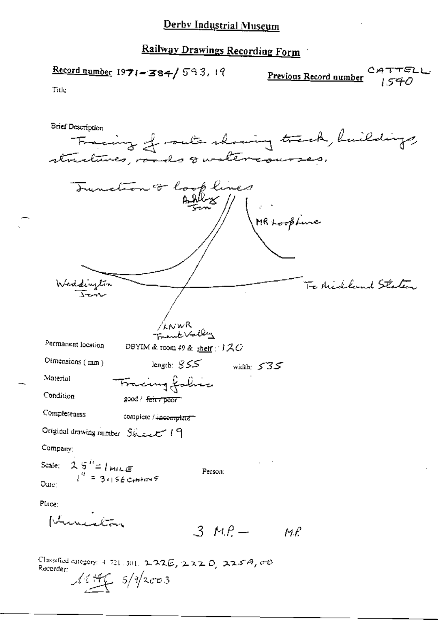Railway Drawings Recording Form

 $Record number$  1971 - 384/593, 19</u> Previous Record number Title **Brief Description** Fracing of route showing track, buildings, Tunction of look lines MR Loopbure Weddington<br>Jen To Nickland Staten /wwR<br>Frank Valley Permanent location DBYIM & room 49 & shelf :  $120$ Dimensions (mm) length:  $SSS$ width:  $535$ Material Fracing folice Condition good / fair / poor Completeness complete / incomplete ~ Original drawing number Steel 19 Company: Scale:  $2.5^{h}$  =  $1 \text{ m}$ LE<br> $1^{h}$  =  $3.156 \text{ cm}$ Person: Date: Place: Kruista  $3MP - MP$ Classified category: 4-721, 301, 2-22E, 2-22 D, 225A, 00 Recorder:  $14.446 - 5/4$ 2003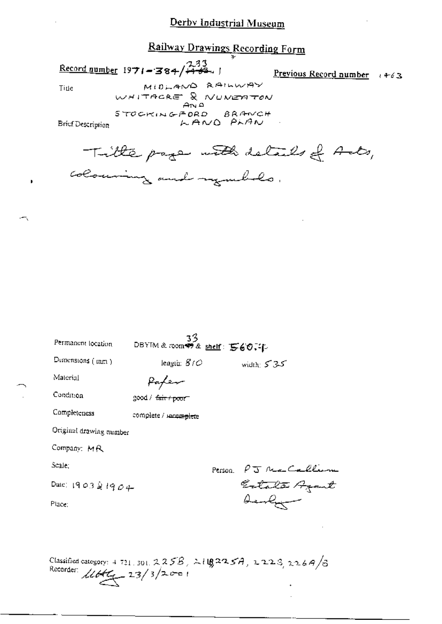## Derby Industrial Museum

## Railway Drawings Recording Form

Record number  $1971 - 384 / 733$ 

Previous Record number  $463$ 

Title

MIDLAND RAILWAY WHITACRE & NUMERTON STOCKINGFORD BRANCH LAND PLAN

**Brief Description** 

Title page with details of Ants, colouring and regulates.

| Permanent location      | 33<br>DBYIM & room \$9 & shelf: 560.4p |         |                              |
|-------------------------|----------------------------------------|---------|------------------------------|
| Dimensions (mm)         | length: $\mathcal{B}/\mathcal{O}$      |         | width: $5.35$                |
| Material                | fafen                                  |         |                              |
| Condition               | good / <del>fair / poor</del>          |         |                              |
| Completeness            | complete / <i>vaccinglete</i>          |         |                              |
| Original drawing number |                                        |         |                              |
| Company: MR             |                                        |         |                              |
| Scale:                  |                                        | Person. |                              |
| Date: 190321904         |                                        |         | PJ Na Callum<br>Estato Azant |
| Place:                  |                                        |         |                              |
|                         |                                        |         |                              |
|                         |                                        |         |                              |

Classified category: 4 721, 301, 225B, 2110225A, 2223, 226A/B Recorder  $11646 - 23/3/2001$